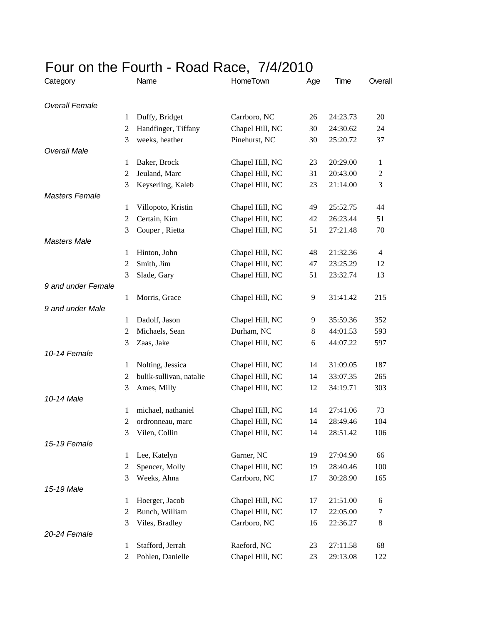## Four on the Fourth - Road Race, 7/4/2010 Category Name HomeTown Age Time Overall *Overall Female* 1 Duffy, Bridget Carrboro, NC 26 24:23.73 20 2 Handfinger, Tiffany Chapel Hill, NC 30 24:30.62 24 3 weeks, heather Pinehurst, NC 30 25:20.72 37 *Overall Male* 1 Baker, Brock Chapel Hill, NC 23 20:29.00 1 2 Jeuland, Marc Chapel Hill, NC 31 20:43.00 2 3 Keyserling, Kaleb Chapel Hill, NC 23 21:14.00 3 *Masters Female* 1 Villopoto, Kristin Chapel Hill, NC 49 25:52.75 44 2 Certain, Kim Chapel Hill, NC 42 26:23.44 51 3 Couper , Rietta Chapel Hill, NC 51 27:21.48 70 *Masters Male* 1 Hinton, John Chapel Hill, NC 48 21:32.36 4 2 Smith, Jim Chapel Hill, NC 47 23:25.29 12 3 Slade, Gary Chapel Hill, NC 51 23:32.74 13 *9 and under Female* 1 Morris, Grace Chapel Hill, NC 9 31:41.42 215 *9 and under Male* 1 Dadolf, Jason Chapel Hill, NC 9 35:59.36 352 2 Michaels, Sean Durham, NC 8 44:01.53 593 3 Zaas, Jake Chapel Hill, NC 6 44:07.22 597 *10-14 Female* 1 Nolting, Jessica Chapel Hill, NC 14 31:09.05 187 2 bulik-sullivan, natalie Chapel Hill, NC 14 33:07.35 265 3 Ames, Milly Chapel Hill, NC 12 34:19.71 303 *10-14 Male* 1 michael, nathaniel Chapel Hill, NC 14 27:41.06 73 2 ordronneau, marc Chapel Hill, NC 14 28:49.46 104 3 Vilen, Collin Chapel Hill, NC 14 28:51.42 106 *15-19 Female* 1 Lee, Katelyn Garner, NC 19 27:04.90 66 2 Spencer, Molly Chapel Hill, NC 19 28:40.46 100 3 Weeks, Ahna Carrboro, NC 17 30:28.90 165 *15-19 Male* 1 Hoerger, Jacob Chapel Hill, NC 17 21:51.00 6 2 Bunch, William Chapel Hill, NC 17 22:05.00 7 3 Viles, Bradley Carrboro, NC 16 22:36.27 8 *20-24 Female* 1 Stafford, Jerrah Raeford, NC 23 27:11.58 68

2 Pohlen, Danielle Chapel Hill, NC 23 29:13.08 122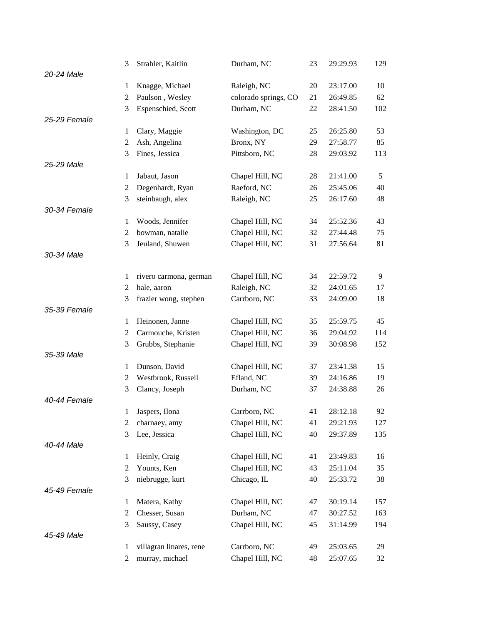|              | 3              | Strahler, Kaitlin       | Durham, NC           | 23 | 29:29.93 | 129 |
|--------------|----------------|-------------------------|----------------------|----|----------|-----|
| 20-24 Male   |                |                         |                      |    |          |     |
|              | 1              | Knagge, Michael         | Raleigh, NC          | 20 | 23:17.00 | 10  |
|              | $\mathfrak{2}$ | Paulson, Wesley         | colorado springs, CO | 21 | 26:49.85 | 62  |
|              | 3              | Espenschied, Scott      | Durham, NC           | 22 | 28:41.50 | 102 |
| 25-29 Female |                |                         |                      |    |          |     |
|              | $\mathbf{1}$   | Clary, Maggie           | Washington, DC       | 25 | 26:25.80 | 53  |
|              | $\overline{c}$ | Ash, Angelina           | Bronx, NY            | 29 | 27:58.77 | 85  |
|              | 3              | Fines, Jessica          | Pittsboro, NC        | 28 | 29:03.92 | 113 |
| 25-29 Male   |                |                         |                      |    |          |     |
|              | 1              | Jabaut, Jason           | Chapel Hill, NC      | 28 | 21:41.00 | 5   |
|              | $\overline{c}$ | Degenhardt, Ryan        | Raeford, NC          | 26 | 25:45.06 | 40  |
|              | 3              | steinbaugh, alex        | Raleigh, NC          | 25 | 26:17.60 | 48  |
| 30-34 Female |                |                         |                      |    |          |     |
|              | $\mathbf{1}$   | Woods, Jennifer         | Chapel Hill, NC      | 34 | 25:52.36 | 43  |
|              | $\overline{c}$ | bowman, natalie         | Chapel Hill, NC      | 32 | 27:44.48 | 75  |
|              | 3              | Jeuland, Shuwen         | Chapel Hill, NC      | 31 | 27:56.64 | 81  |
| 30-34 Male   |                |                         |                      |    |          |     |
|              |                |                         |                      |    |          |     |
|              | 1              | rivero carmona, german  | Chapel Hill, NC      | 34 | 22:59.72 | 9   |
|              | $\overline{c}$ | hale, aaron             | Raleigh, NC          | 32 | 24:01.65 | 17  |
| 35-39 Female | 3              | frazier wong, stephen   | Carrboro, NC         | 33 | 24:09.00 | 18  |
|              | 1              | Heinonen, Janne         | Chapel Hill, NC      | 35 | 25:59.75 | 45  |
|              | $\mathfrak{2}$ | Carmouche, Kristen      | Chapel Hill, NC      | 36 | 29:04.92 | 114 |
|              | 3              |                         | Chapel Hill, NC      | 39 | 30:08.98 | 152 |
| 35-39 Male   |                | Grubbs, Stephanie       |                      |    |          |     |
|              | $\mathbf{1}$   | Dunson, David           | Chapel Hill, NC      | 37 | 23:41.38 | 15  |
|              | $\overline{c}$ | Westbrook, Russell      | Efland, NC           | 39 | 24:16.86 | 19  |
|              | 3              | Clancy, Joseph          | Durham, NC           | 37 | 24:38.88 | 26  |
| 40-44 Female |                |                         |                      |    |          |     |
|              | $\mathbf{I}$   | Jaspers, Ilona          | Carrboro, NC         | 41 | 28:12.18 | 92  |
|              | 2              | charnaey, amy           | Chapel Hill, NC      | 41 | 29:21.93 | 127 |
|              | 3              | Lee, Jessica            | Chapel Hill, NC      | 40 | 29:37.89 | 135 |
| 40-44 Male   |                |                         |                      |    |          |     |
|              | $\mathbf{1}$   | Heinly, Craig           | Chapel Hill, NC      | 41 | 23:49.83 | 16  |
|              | $\overline{c}$ | Younts, Ken             | Chapel Hill, NC      | 43 | 25:11.04 | 35  |
|              | 3              | niebrugge, kurt         | Chicago, IL          | 40 | 25:33.72 | 38  |
| 45-49 Female |                |                         |                      |    |          |     |
|              | 1              | Matera, Kathy           | Chapel Hill, NC      | 47 | 30:19.14 | 157 |
|              | $\overline{c}$ | Chesser, Susan          | Durham, NC           | 47 | 30:27.52 | 163 |
|              | 3              | Saussy, Casey           | Chapel Hill, NC      | 45 | 31:14.99 | 194 |
| 45-49 Male   |                |                         |                      |    |          |     |
|              | $\mathbf{1}$   | villagran linares, rene | Carrboro, NC         | 49 | 25:03.65 | 29  |
|              | $\overline{c}$ | murray, michael         | Chapel Hill, NC      | 48 | 25:07.65 | 32  |
|              |                |                         |                      |    |          |     |